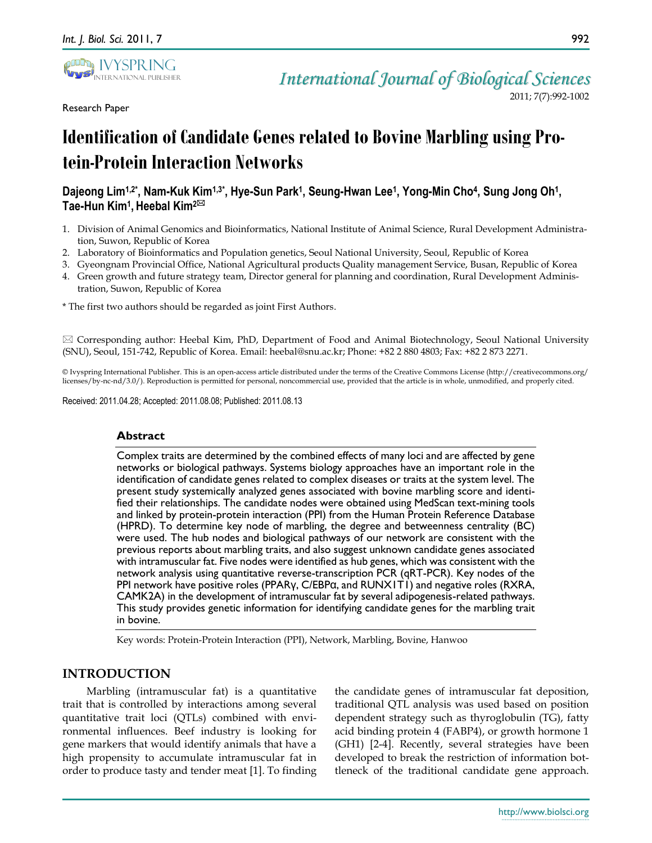

Research Paper

*International Journal of Biological Sciences*

2011; 7(7):992-1002

# **Identification of Candidate Genes related to Bovine Marbling using Protein-Protein Interaction Networks**

# Dajeong Lim<sup>1,2\*</sup>, Nam-Kuk Kim<sup>1,3\*</sup>, Hye-Sun Park<sup>1</sup>, Seung-Hwan Lee<sup>1</sup>, Yong-Min Cho<sup>4</sup>, Sung Jong Oh<sup>1</sup>, **Tae-Hun Kim<sup>1</sup> , Heebal Kim2**

- 1. Division of Animal Genomics and Bioinformatics, National Institute of Animal Science, Rural Development Administration, Suwon, Republic of Korea
- 2. Laboratory of Bioinformatics and Population genetics, Seoul National University, Seoul, Republic of Korea
- 3. Gyeongnam Provincial Office, National Agricultural products Quality management Service, Busan, Republic of Korea
- 4. Green growth and future strategy team, Director general for planning and coordination, Rural Development Administration, Suwon, Republic of Korea
- \* The first two authors should be regarded as joint First Authors.

 $\boxtimes$  Corresponding author: Heebal Kim, PhD, Department of Food and Animal Biotechnology, Seoul National University (SNU), Seoul, 151-742, Republic of Korea. Email: heebal@snu.ac.kr; Phone: +82 2 880 4803; Fax: +82 2 873 2271.

© Ivyspring International Publisher. This is an open-access article distributed under the terms of the Creative Commons License (http://creativecommons.org/ licenses/by-nc-nd/3.0/). Reproduction is permitted for personal, noncommercial use, provided that the article is in whole, unmodified, and properly cited.

Received: 2011.04.28; Accepted: 2011.08.08; Published: 2011.08.13

#### **Abstract**

Complex traits are determined by the combined effects of many loci and are affected by gene networks or biological pathways. Systems biology approaches have an important role in the identification of candidate genes related to complex diseases or traits at the system level. The present study systemically analyzed genes associated with bovine marbling score and identified their relationships. The candidate nodes were obtained using MedScan text-mining tools and linked by protein-protein interaction (PPI) from the Human Protein Reference Database (HPRD). To determine key node of marbling, the degree and betweenness centrality (BC) were used. The hub nodes and biological pathways of our network are consistent with the previous reports about marbling traits, and also suggest unknown candidate genes associated with intramuscular fat. Five nodes were identified as hub genes, which was consistent with the network analysis using quantitative reverse-transcription PCR (qRT-PCR). Key nodes of the PPI network have positive roles (PPARγ, C/EBPα, and RUNX1T1) and negative roles (RXRA, CAMK2A) in the development of intramuscular fat by several adipogenesis-related pathways. This study provides genetic information for identifying candidate genes for the marbling trait in bovine.

Key words: Protein-Protein Interaction (PPI), Network, Marbling, Bovine, Hanwoo

# **INTRODUCTION**

Marbling (intramuscular fat) is a quantitative trait that is controlled by interactions among several quantitative trait loci (QTLs) combined with environmental influences. Beef industry is looking for gene markers that would identify animals that have a high propensity to accumulate intramuscular fat in order to produce tasty and tender meat [1]. To finding the candidate genes of intramuscular fat deposition, traditional QTL analysis was used based on position dependent strategy such as thyroglobulin (TG), fatty acid binding protein 4 (FABP4), or growth hormone 1 (GH1) [2-4]. Recently, several strategies have been developed to break the restriction of information bottleneck of the traditional candidate gene approach.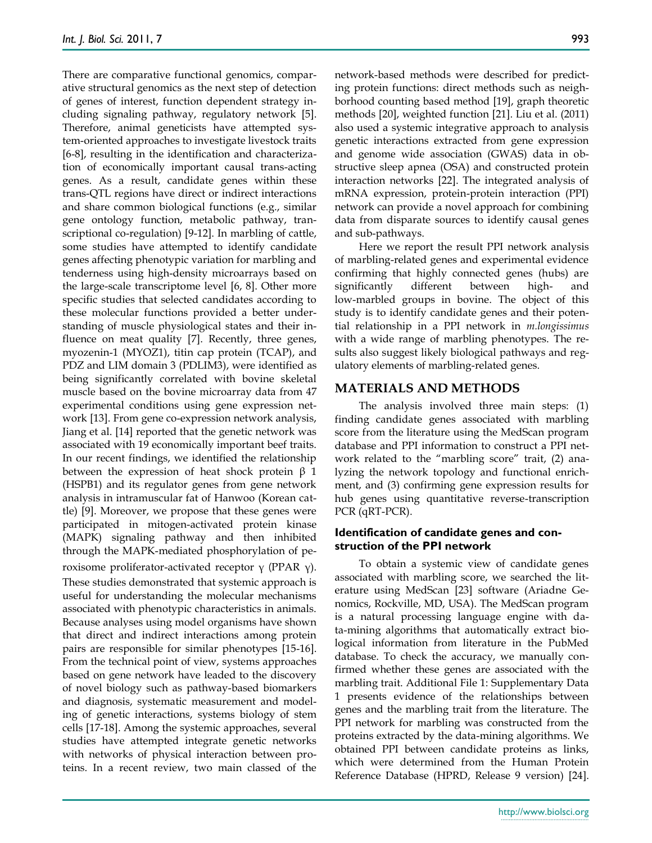There are comparative functional genomics, comparative structural genomics as the next step of detection of genes of interest, function dependent strategy including signaling pathway, regulatory network [5]. Therefore, animal geneticists have attempted system-oriented approaches to investigate livestock traits [6-8], resulting in the identification and characterization of economically important causal trans-acting genes. As a result, candidate genes within these trans-QTL regions have direct or indirect interactions and share common biological functions (e.g., similar gene ontology function, metabolic pathway, transcriptional co-regulation) [9-12]. In marbling of cattle, some studies have attempted to identify candidate genes affecting phenotypic variation for marbling and tenderness using high-density microarrays based on the large-scale transcriptome level [6, 8]. Other more specific studies that selected candidates according to these molecular functions provided a better understanding of muscle physiological states and their influence on meat quality [7]. Recently, three genes, myozenin-1 (MYOZ1), titin cap protein (TCAP), and PDZ and LIM domain 3 (PDLIM3), were identified as being significantly correlated with bovine skeletal muscle based on the bovine microarray data from 47 experimental conditions using gene expression network [13]. From gene co-expression network analysis, Jiang et al. [14] reported that the genetic network was associated with 19 economically important beef traits. In our recent findings, we identified the relationship between the expression of heat shock protein  $β$  1 (HSPB1) and its regulator genes from gene network analysis in intramuscular fat of Hanwoo (Korean cattle) [9]. Moreover, we propose that these genes were participated in mitogen-activated protein kinase (MAPK) signaling pathway and then inhibited through the MAPK-mediated phosphorylation of peroxisome proliferator-activated receptor γ (PPAR γ). These studies demonstrated that systemic approach is useful for understanding the molecular mechanisms associated with phenotypic characteristics in animals. Because analyses using model organisms have shown that direct and indirect interactions among protein pairs are responsible for similar phenotypes [15-16]. From the technical point of view, systems approaches based on gene network have leaded to the discovery of novel biology such as pathway-based biomarkers and diagnosis, systematic measurement and modeling of genetic interactions, systems biology of stem cells [17-18]. Among the systemic approaches, several studies have attempted integrate genetic networks with networks of physical interaction between proteins. In a recent review, two main classed of the

network-based methods were described for predicting protein functions: direct methods such as neighborhood counting based method [19], graph theoretic methods [20], weighted function [21]. Liu et al. (2011) also used a systemic integrative approach to analysis genetic interactions extracted from gene expression and genome wide association (GWAS) data in obstructive sleep apnea (OSA) and constructed protein interaction networks [22]. The integrated analysis of mRNA expression, protein-protein interaction (PPI) network can provide a novel approach for combining data from disparate sources to identify causal genes and sub-pathways.

Here we report the result PPI network analysis of marbling-related genes and experimental evidence confirming that highly connected genes (hubs) are significantly different between high- and low-marbled groups in bovine. The object of this study is to identify candidate genes and their potential relationship in a PPI network in *m.longissimus* with a wide range of marbling phenotypes. The results also suggest likely biological pathways and regulatory elements of marbling-related genes.

# **MATERIALS AND METHODS**

The analysis involved three main steps: (1) finding candidate genes associated with marbling score from the literature using the MedScan program database and PPI information to construct a PPI network related to the "marbling score" trait, (2) analyzing the network topology and functional enrichment, and (3) confirming gene expression results for hub genes using quantitative reverse-transcription PCR (qRT-PCR).

## **Identification of candidate genes and construction of the PPI network**

To obtain a systemic view of candidate genes associated with marbling score, we searched the literature using MedScan [23] software (Ariadne Genomics, Rockville, MD, USA). The MedScan program is a natural processing language engine with data-mining algorithms that automatically extract biological information from literature in the PubMed database. To check the accuracy, we manually confirmed whether these genes are associated with the marbling trait. Additional File 1: Supplementary Data 1 presents evidence of the relationships between genes and the marbling trait from the literature. The PPI network for marbling was constructed from the proteins extracted by the data-mining algorithms. We obtained PPI between candidate proteins as links, which were determined from the Human Protein Reference Database (HPRD, Release 9 version) [24].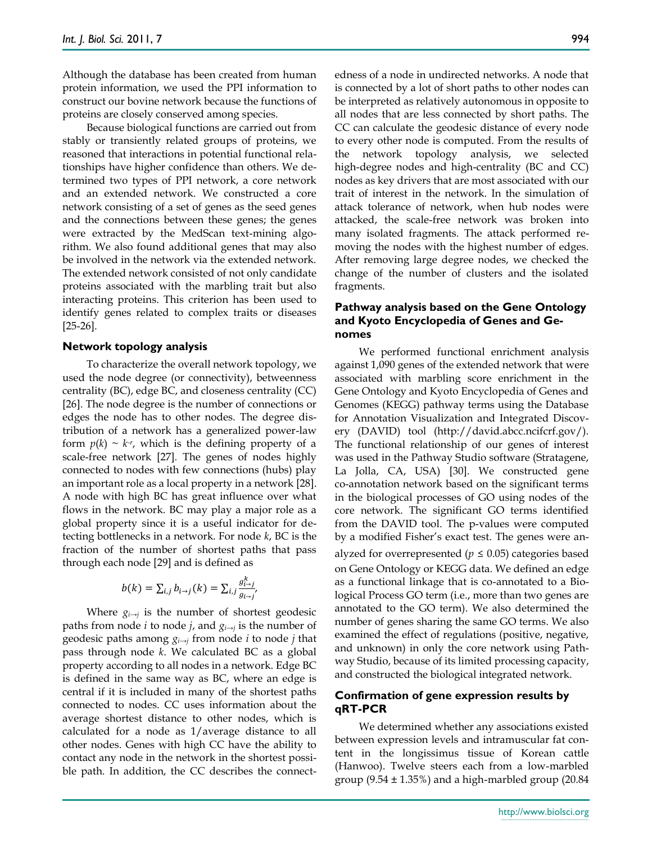Although the database has been created from human protein information, we used the PPI information to construct our bovine network because the functions of proteins are closely conserved among species.

Because biological functions are carried out from stably or transiently related groups of proteins, we reasoned that interactions in potential functional relationships have higher confidence than others. We determined two types of PPI network, a core network and an extended network. We constructed a core network consisting of a set of genes as the seed genes and the connections between these genes; the genes were extracted by the MedScan text-mining algorithm. We also found additional genes that may also be involved in the network via the extended network. The extended network consisted of not only candidate proteins associated with the marbling trait but also interacting proteins. This criterion has been used to identify genes related to complex traits or diseases [25-26].

#### **Network topology analysis**

To characterize the overall network topology, we used the node degree (or connectivity), betweenness centrality (BC), edge BC, and closeness centrality (CC) [26]. The node degree is the number of connections or edges the node has to other nodes. The degree distribution of a network has a generalized power-law form  $p(k) \sim k^{r}$ , which is the defining property of a scale-free network [27]*.* The genes of nodes highly connected to nodes with few connections (hubs) play an important role as a local property in a network [28]. A node with high BC has great influence over what flows in the network. BC may play a major role as a global property since it is a useful indicator for detecting bottlenecks in a network. For node *k*, BC is the fraction of the number of shortest paths that pass through each node [29] and is defined as

$$
b(k) = \sum_{i,j} b_{i \to j}(k) = \sum_{i,j} \frac{g_{i \to j}^k}{g_{i \to j}'}
$$

Where *gi→j* is the number of shortest geodesic paths from node *i* to node *j*, and *gi→j* is the number of geodesic paths among *gi→j* from node *i* to node *j* that pass through node *k*. We calculated BC as a global property according to all nodes in a network. Edge BC is defined in the same way as BC, where an edge is central if it is included in many of the shortest paths connected to nodes. CC uses information about the average shortest distance to other nodes, which is calculated for a node as 1/average distance to all other nodes. Genes with high CC have the ability to contact any node in the network in the shortest possible path. In addition, the CC describes the connectedness of a node in undirected networks. A node that is connected by a lot of short paths to other nodes can be interpreted as relatively autonomous in opposite to all nodes that are less connected by short paths. The CC can calculate the geodesic distance of every node to every other node is computed. From the results of the network topology analysis, we selected high-degree nodes and high-centrality (BC and CC) nodes as key drivers that are most associated with our trait of interest in the network. In the simulation of attack tolerance of network, when hub nodes were attacked, the scale-free network was broken into many isolated fragments. The attack performed removing the nodes with the highest number of edges. After removing large degree nodes, we checked the change of the number of clusters and the isolated fragments.

#### **Pathway analysis based on the Gene Ontology and Kyoto Encyclopedia of Genes and Genomes**

We performed functional enrichment analysis against 1,090 genes of the extended network that were associated with marbling score enrichment in the Gene Ontology and Kyoto Encyclopedia of Genes and Genomes (KEGG) pathway terms using the Database for Annotation Visualization and Integrated Discovery (DAVID) tool (http://david.abcc.ncifcrf.gov/). The functional relationship of our genes of interest was used in the Pathway Studio software (Stratagene, La Jolla, CA, USA) [30]. We constructed gene co-annotation network based on the significant terms in the biological processes of GO using nodes of the core network. The significant GO terms identified from the DAVID tool. The p-values were computed by a modified Fisher"s exact test. The genes were analyzed for overrepresented ( $p \leq 0.05$ ) categories based on Gene Ontology or KEGG data. We defined an edge as a functional linkage that is co-annotated to a Biological Process GO term (i.e., more than two genes are annotated to the GO term). We also determined the number of genes sharing the same GO terms. We also examined the effect of regulations (positive, negative, and unknown) in only the core network using Pathway Studio, because of its limited processing capacity, and constructed the biological integrated network.

#### **Confirmation of gene expression results by qRT-PCR**

We determined whether any associations existed between expression levels and intramuscular fat content in the longissimus tissue of Korean cattle (Hanwoo). Twelve steers each from a low-marbled group  $(9.54 \pm 1.35\%)$  and a high-marbled group  $(20.84$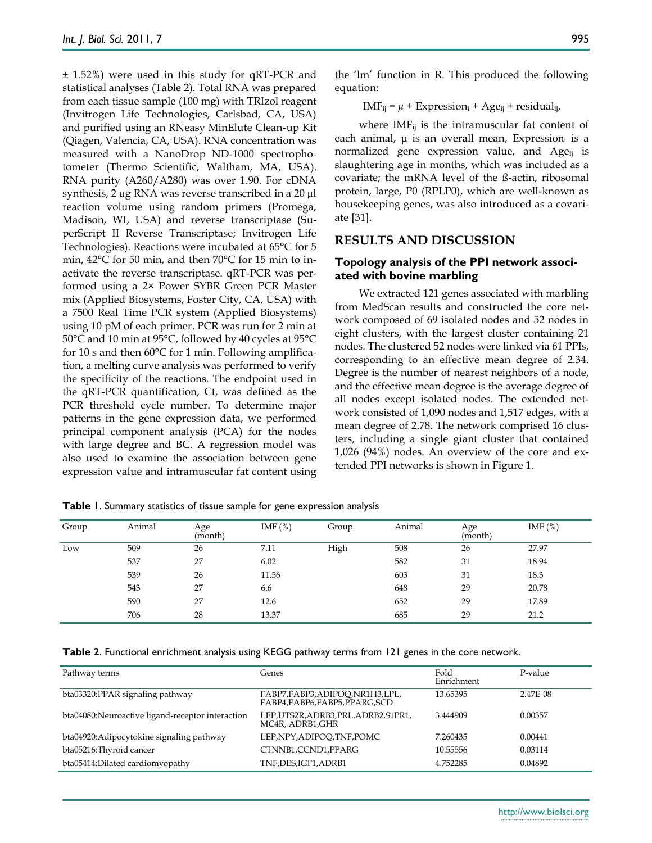± 1.52%) were used in this study for qRT-PCR and statistical analyses (Table 2). Total RNA was prepared from each tissue sample (100 mg) with TRIzol reagent (Invitrogen Life Technologies, Carlsbad, CA, USA) and purified using an RNeasy MinElute Clean-up Kit (Qiagen, Valencia, CA, USA). RNA concentration was measured with a NanoDrop ND-1000 spectrophotometer (Thermo Scientific, Waltham, MA, USA). RNA purity (A260/A280) was over 1.90. For cDNA synthesis, 2 µg RNA was reverse transcribed in a 20 µl reaction volume using random primers (Promega, Madison, WI, USA) and reverse transcriptase (SuperScript II Reverse Transcriptase; Invitrogen Life Technologies). Reactions were incubated at 65°C for 5 min, 42°C for 50 min, and then 70°C for 15 min to inactivate the reverse transcriptase. qRT-PCR was performed using a 2× Power SYBR Green PCR Master mix (Applied Biosystems, Foster City, CA, USA) with a 7500 Real Time PCR system (Applied Biosystems) using 10 pM of each primer. PCR was run for 2 min at 50°C and 10 min at 95°C, followed by 40 cycles at 95°C for 10 s and then 60°C for 1 min. Following amplification, a melting curve analysis was performed to verify the specificity of the reactions. The endpoint used in the qRT-PCR quantification, Ct, was defined as the PCR threshold cycle number. To determine major patterns in the gene expression data, we performed principal component analysis (PCA) for the nodes with large degree and BC. A regression model was also used to examine the association between gene expression value and intramuscular fat content using

the "lm" function in R. This produced the following equation:

 $IMF_{ii} = \mu + Expression_{ii} + Age_{ii} + residual_{ii}$ 

where  $IMF_{ii}$  is the intramuscular fat content of each animal,  $\mu$  is an overall mean, Expression<sub>i</sub> is a normalized gene expression value, and  $Age_{ij}$  is slaughtering age in months, which was included as a covariate; the mRNA level of the ß-actin, ribosomal protein, large, P0 (RPLP0), which are well-known as housekeeping genes, was also introduced as a covariate [31].

## **RESULTS AND DISCUSSION**

#### **Topology analysis of the PPI network associated with bovine marbling**

We extracted 121 genes associated with marbling from MedScan results and constructed the core network composed of 69 isolated nodes and 52 nodes in eight clusters, with the largest cluster containing 21 nodes. The clustered 52 nodes were linked via 61 PPIs, corresponding to an effective mean degree of 2.34. Degree is the number of nearest neighbors of a node, and the effective mean degree is the average degree of all nodes except isolated nodes. The extended network consisted of 1,090 nodes and 1,517 edges, with a mean degree of 2.78. The network comprised 16 clusters, including a single giant cluster that contained 1,026 (94%) nodes. An overview of the core and extended PPI networks is shown in Figure 1.

| Group | Animal | Age<br>(month) | IMF $(\%)$ | Group | Animal | Age<br>(month) | IMF $(\%)$ |
|-------|--------|----------------|------------|-------|--------|----------------|------------|
| Low   | 509    | 26             | 7.11       | High  | 508    | 26             | 27.97      |
|       | 537    | 27             | 6.02       |       | 582    | 31             | 18.94      |
|       | 539    | 26             | 11.56      |       | 603    | 31             | 18.3       |
|       | 543    | 27             | 6.6        |       | 648    | 29             | 20.78      |
|       | 590    | 27             | 12.6       |       | 652    | 29             | 17.89      |
|       | 706    | 28             | 13.37      |       | 685    | 29             | 21.2       |

**Table 1**. Summary statistics of tissue sample for gene expression analysis

**Table 2**. Functional enrichment analysis using KEGG pathway terms from 121 genes in the core network.

| Pathway terms                                    | Genes                                                        | Fold<br>Enrichment | P-value  |
|--------------------------------------------------|--------------------------------------------------------------|--------------------|----------|
| bta03320:PPAR signaling pathway                  | FABP7,FABP3,ADIPOO,NR1H3,LPL,<br>FABP4,FABP6,FABP5,PPARG,SCD | 13.65395           | 2.47E-08 |
| bta04080:Neuroactive ligand-receptor interaction | LEP,UTS2R,ADRB3,PRL,ADRB2,S1PR1,<br>MC4R, ADRB1,GHR          | 3.444909           | 0.00357  |
| bta04920: Adipocytokine signaling pathway        | LEP, NPY, ADIPOO, TNF, POMC                                  | 7.260435           | 0.00441  |
| bta05216: Thyroid cancer                         | CTNNB1,CCND1,PPARG                                           | 10.55556           | 0.03114  |
| bta05414:Dilated cardiomyopathy                  | TNF,DES,IGF1,ADRB1                                           | 4.752285           | 0.04892  |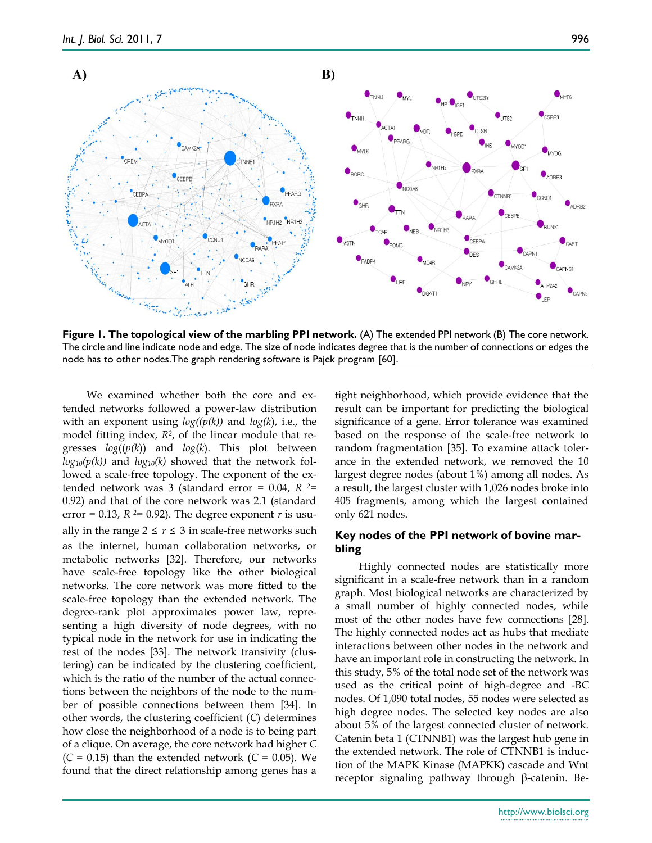

**Figure 1. The topological view of the marbling PPI network.** (A) The extended PPI network (B) The core network. The circle and line indicate node and edge. The size of node indicates degree that is the number of connections or edges the node has to other nodes.The graph rendering software is Pajek program [60].

We examined whether both the core and extended networks followed a power-law distribution with an exponent using *log((p(k))* and *log(k*), i.e., the model fitting index, *R<sup>2</sup>* , of the linear module that regresses *log*((*p(k*)) and *log*(*k*). This plot between  $log_{10}(p(k))$  and  $log_{10}(k)$  showed that the network followed a scale-free topology. The exponent of the extended network was 3 (standard error = 0.04, *R 2*= 0.92) and that of the core network was 2.1 (standard error = 0.13,  $R$  <sup>2</sup>= 0.92). The degree exponent *r* is usually in the range  $2 \le r \le 3$  in scale-free networks such as the internet, human collaboration networks, or metabolic networks [32]. Therefore, our networks have scale-free topology like the other biological networks. The core network was more fitted to the scale-free topology than the extended network. The degree-rank plot approximates power law, representing a high diversity of node degrees, with no typical node in the network for use in indicating the rest of the nodes [33]. The network transivity (clustering) can be indicated by the clustering coefficient, which is the ratio of the number of the actual connections between the neighbors of the node to the number of possible connections between them [34]. In other words, the clustering coefficient (*C*) determines how close the neighborhood of a node is to being part of a clique. On average, the core network had higher *C*   $(C = 0.15)$  than the extended network  $(C = 0.05)$ . We found that the direct relationship among genes has a

tight neighborhood, which provide evidence that the result can be important for predicting the biological significance of a gene. Error tolerance was examined based on the response of the scale-free network to random fragmentation [35]. To examine attack tolerance in the extended network, we removed the 10 largest degree nodes (about 1%) among all nodes. As a result, the largest cluster with 1,026 nodes broke into 405 fragments, among which the largest contained only 621 nodes.

## **Key nodes of the PPI network of bovine marbling**

Highly connected nodes are statistically more significant in a scale-free network than in a random graph. Most biological networks are characterized by a small number of highly connected nodes, while most of the other nodes have few connections [28]. The highly connected nodes act as hubs that mediate interactions between other nodes in the network and have an important role in constructing the network. In this study, 5% of the total node set of the network was used as the critical point of high-degree and -BC nodes. Of 1,090 total nodes, 55 nodes were selected as high degree nodes. The selected key nodes are also about 5% of the largest connected cluster of network. Catenin beta 1 (CTNNB1) was the largest hub gene in the extended network. The role of CTNNB1 is induction of the MAPK Kinase (MAPKK) cascade and Wnt receptor signaling pathway through β-catenin. Be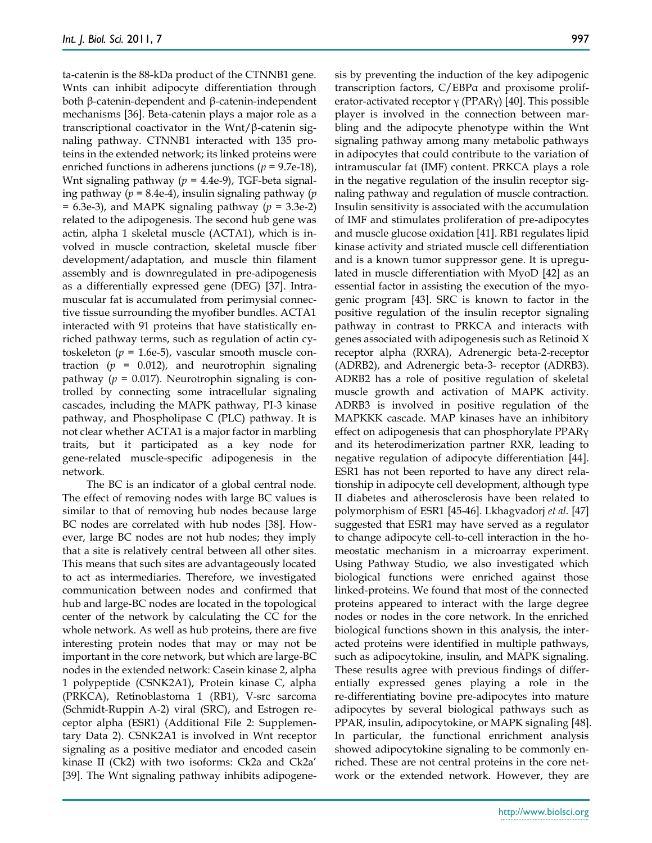ta-catenin is the 88-kDa product of the CTNNB1 gene. Wnts can inhibit adipocyte differentiation through both β-catenin-dependent and β-catenin-independent mechanisms [36]. Beta-catenin plays a major role as a transcriptional coactivator in the Wnt/β-catenin signaling pathway. CTNNB1 interacted with 135 proteins in the extended network; its linked proteins were enriched functions in adherens junctions (*p* = 9.7e-18), Wnt signaling pathway (*p* = 4.4e-9), TGF-beta signaling pathway (*p* = 8.4e-4), insulin signaling pathway (*p*  = 6.3e-3), and MAPK signaling pathway (*p* = 3.3e-2) related to the adipogenesis. The second hub gene was actin, alpha 1 skeletal muscle (ACTA1), which is involved in muscle contraction, skeletal muscle fiber development/adaptation, and muscle thin filament assembly and is downregulated in pre-adipogenesis as a differentially expressed gene (DEG) [37]. Intramuscular fat is accumulated from perimysial connective tissue surrounding the myofiber bundles. ACTA1 interacted with 91 proteins that have statistically enriched pathway terms, such as regulation of actin cytoskeleton ( $p = 1.6e-5$ ), vascular smooth muscle contraction  $(p = 0.012)$ , and neurotrophin signaling pathway ( $p = 0.017$ ). Neurotrophin signaling is controlled by connecting some intracellular signaling cascades, including the MAPK pathway, PI-3 kinase pathway, and Phospholipase C (PLC) pathway. It is not clear whether ACTA1 is a major factor in marbling traits, but it participated as a key node for gene-related muscle-specific adipogenesis in the network.

The BC is an indicator of a global central node. The effect of removing nodes with large BC values is similar to that of removing hub nodes because large BC nodes are correlated with hub nodes [38]. However, large BC nodes are not hub nodes; they imply that a site is relatively central between all other sites. This means that such sites are advantageously located to act as intermediaries. Therefore, we investigated communication between nodes and confirmed that hub and large-BC nodes are located in the topological center of the network by calculating the CC for the whole network. As well as hub proteins, there are five interesting protein nodes that may or may not be important in the core network, but which are large-BC nodes in the extended network: Casein kinase 2, alpha 1 polypeptide (CSNK2A1), Protein kinase C, alpha (PRKCA), Retinoblastoma 1 (RB1), V-src sarcoma (Schmidt-Ruppin A-2) viral (SRC), and Estrogen receptor alpha (ESR1) (Additional File 2: Supplementary Data 2). CSNK2A1 is involved in Wnt receptor signaling as a positive mediator and encoded casein kinase II (Ck2) with two isoforms: Ck2a and Ck2a" [39]. The Wnt signaling pathway inhibits adipogenesis by preventing the induction of the key adipogenic transcription factors, C/EBPα and proxisome proliferator-activated receptor  $\gamma$  (PPAR $\gamma$ ) [40]. This possible player is involved in the connection between marbling and the adipocyte phenotype within the Wnt signaling pathway among many metabolic pathways in adipocytes that could contribute to the variation of intramuscular fat (IMF) content. PRKCA plays a role in the negative regulation of the insulin receptor signaling pathway and regulation of muscle contraction. Insulin sensitivity is associated with the accumulation of IMF and stimulates proliferation of pre-adipocytes and muscle glucose oxidation [41]. RB1 regulates lipid kinase activity and striated muscle cell differentiation and is a known tumor suppressor gene. It is upregulated in muscle differentiation with MyoD [42] as an essential factor in assisting the execution of the myogenic program [43]. SRC is known to factor in the positive regulation of the insulin receptor signaling pathway in contrast to PRKCA and interacts with genes associated with adipogenesis such as Retinoid X receptor alpha (RXRA), Adrenergic beta-2-receptor (ADRB2), and Adrenergic beta-3- receptor (ADRB3). ADRB2 has a role of positive regulation of skeletal muscle growth and activation of MAPK activity. ADRB3 is involved in positive regulation of the MAPKKK cascade. MAP kinases have an inhibitory effect on adipogenesis that can phosphorylate PPARγ and its heterodimerization partner RXR, leading to negative regulation of adipocyte differentiation [44]. ESR1 has not been reported to have any direct relationship in adipocyte cell development, although type II diabetes and atherosclerosis have been related to polymorphism of ESR1 [45-46]. Lkhagvadorj *et al.* [47] suggested that ESR1 may have served as a regulator to change adipocyte cell-to-cell interaction in the homeostatic mechanism in a microarray experiment. Using Pathway Studio, we also investigated which biological functions were enriched against those linked-proteins. We found that most of the connected proteins appeared to interact with the large degree nodes or nodes in the core network. In the enriched biological functions shown in this analysis, the interacted proteins were identified in multiple pathways, such as adipocytokine, insulin, and MAPK signaling. These results agree with previous findings of differentially expressed genes playing a role in the re-differentiating bovine pre-adipocytes into mature adipocytes by several biological pathways such as PPAR, insulin, adipocytokine, or MAPK signaling [48]. In particular, the functional enrichment analysis showed adipocytokine signaling to be commonly enriched. These are not central proteins in the core network or the extended network. However, they are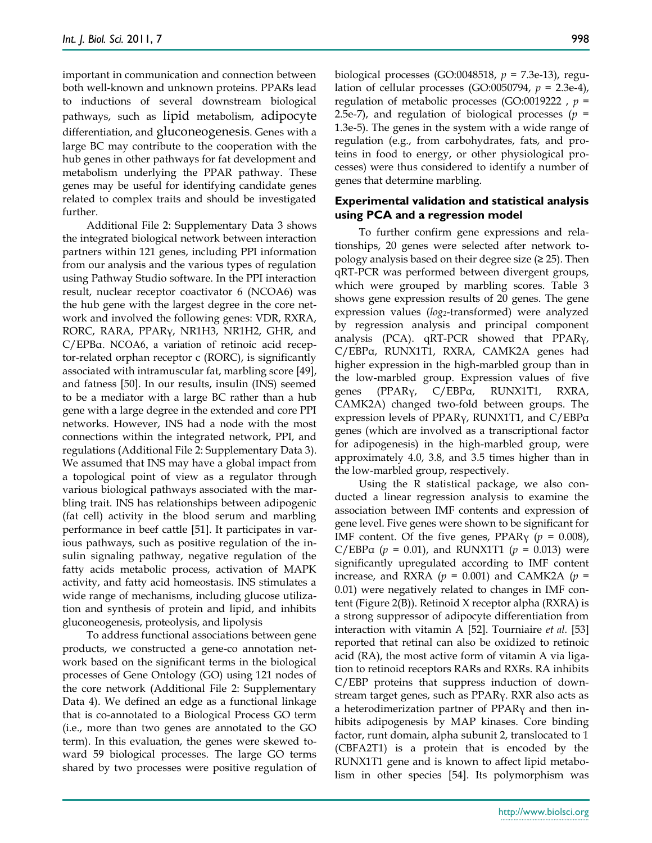important in communication and connection between both well-known and unknown proteins. PPARs lead to inductions of several downstream biological pathways, such as lipid metabolism, adipocyte differentiation, and gluconeogenesis. Genes with a large BC may contribute to the cooperation with the hub genes in other pathways for fat development and metabolism underlying the PPAR pathway. These genes may be useful for identifying candidate genes related to complex traits and should be investigated further.

Additional File 2: Supplementary Data 3 shows the integrated biological network between interaction partners within 121 genes, including PPI information from our analysis and the various types of regulation using Pathway Studio software. In the PPI interaction result, nuclear receptor coactivator 6 (NCOA6) was the hub gene with the largest degree in the core network and involved the following genes: VDR, RXRA, RORC, RARA, PPARγ, NR1H3, NR1H2, GHR, and C/EPBα. NCOA6, a variation of retinoic acid receptor-related orphan receptor c (RORC), is significantly associated with intramuscular fat, marbling score [49], and fatness [50]. In our results, insulin (INS) seemed to be a mediator with a large BC rather than a hub gene with a large degree in the extended and core PPI networks. However, INS had a node with the most connections within the integrated network, PPI, and regulations (Additional File 2: Supplementary Data 3). We assumed that INS may have a global impact from a topological point of view as a regulator through various biological pathways associated with the marbling trait. INS has relationships between adipogenic (fat cell) activity in the blood serum and marbling performance in beef cattle [51]. It participates in various pathways, such as positive regulation of the insulin signaling pathway, negative regulation of the fatty acids metabolic process, activation of MAPK activity, and fatty acid homeostasis. INS stimulates a wide range of mechanisms, including glucose utilization and synthesis of protein and lipid, and inhibits gluconeogenesis, proteolysis, and lipolysis

To address functional associations between gene products, we constructed a gene-co annotation network based on the significant terms in the biological processes of Gene Ontology (GO) using 121 nodes of the core network (Additional File 2: Supplementary Data 4). We defined an edge as a functional linkage that is co-annotated to a Biological Process GO term (i.e., more than two genes are annotated to the GO term). In this evaluation, the genes were skewed toward 59 biological processes. The large GO terms shared by two processes were positive regulation of biological processes (GO:0048518, *p* = 7.3e-13), regulation of cellular processes (GO:0050794, *p* = 2.3e-4), regulation of metabolic processes (GO:0019222 , *p* = 2.5e-7), and regulation of biological processes (*p* = 1.3e-5). The genes in the system with a wide range of regulation (e.g., from carbohydrates, fats, and proteins in food to energy, or other physiological processes) were thus considered to identify a number of genes that determine marbling.

#### **Experimental validation and statistical analysis using PCA and a regression model**

To further confirm gene expressions and relationships, 20 genes were selected after network topology analysis based on their degree size  $(≥ 25)$ . Then qRT-PCR was performed between divergent groups, which were grouped by marbling scores. Table 3 shows gene expression results of 20 genes. The gene expression values (*log2*-transformed) were analyzed by regression analysis and principal component analysis (PCA). qRT-PCR showed that PPARγ, C/EBPα, RUNX1T1, RXRA, CAMK2A genes had higher expression in the high-marbled group than in the low-marbled group. Expression values of five genes (PPARγ, C/EBPα, RUNX1T1, RXRA, CAMK2A) changed two-fold between groups. The expression levels of PPARγ, RUNX1T1, and C/EBPα genes (which are involved as a transcriptional factor for adipogenesis) in the high-marbled group, were approximately 4.0, 3.8, and 3.5 times higher than in the low-marbled group, respectively.

Using the R statistical package, we also conducted a linear regression analysis to examine the association between IMF contents and expression of gene level. Five genes were shown to be significant for IMF content. Of the five genes,  $PPAR<sub>V</sub>$  ( $p = 0.008$ ), C/EBPα ( $p = 0.01$ ), and RUNX1T1 ( $p = 0.013$ ) were significantly upregulated according to IMF content increase, and RXRA ( $p = 0.001$ ) and CAMK2A ( $p =$ 0.01) were negatively related to changes in IMF content (Figure 2(B)). Retinoid X receptor alpha (RXRA) is a strong suppressor of adipocyte differentiation from interaction with vitamin A [52]. Tourniaire *et al.* [53] reported that retinal can also be oxidized to retinoic acid (RA), the most active form of vitamin A via ligation to retinoid receptors RARs and RXRs. RA inhibits C/EBP proteins that suppress induction of downstream target genes, such as PPARγ. RXR also acts as a heterodimerization partner of PPARγ and then inhibits adipogenesis by MAP kinases. Core binding factor, runt domain, alpha subunit 2, translocated to 1 (CBFA2T1) is a protein that is encoded by the RUNX1T1 gene and is known to affect lipid metabolism in other species [54]. Its polymorphism was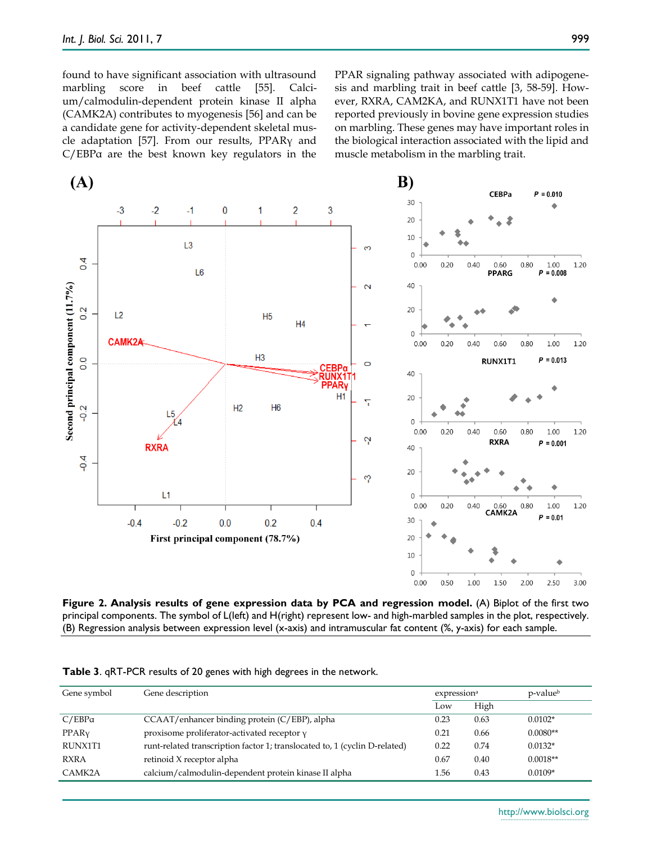found to have significant association with ultrasound marbling score in beef cattle [55]. Calcium/calmodulin-dependent protein kinase II alpha (CAMK2A) contributes to myogenesis [56] and can be a candidate gene for activity-dependent skeletal muscle adaptation [57]. From our results, PPARγ and C/EBPα are the best known key regulators in the

PPAR signaling pathway associated with adipogenesis and marbling trait in beef cattle [3, 58-59]. However, RXRA, CAM2KA, and RUNX1T1 have not been reported previously in bovine gene expression studies on marbling. These genes may have important roles in the biological interaction associated with the lipid and muscle metabolism in the marbling trait.





| Gene symbol       | Gene description                                                           | expression <sup>a</sup> |      | p-valueb   |
|-------------------|----------------------------------------------------------------------------|-------------------------|------|------------|
|                   |                                                                            | Low                     | High |            |
| $C/EBP\alpha$     | CCAAT/enhancer binding protein (C/EBP), alpha                              | 0.23                    | 0.63 | $0.0102*$  |
| PPAR <sub>V</sub> | proxisome proliferator-activated receptor y                                | 0.21                    | 0.66 | $0.0080**$ |
| RUNX1T1           | runt-related transcription factor 1; translocated to, 1 (cyclin D-related) | 0.22                    | 0.74 | $0.0132*$  |
| <b>RXRA</b>       | retinoid X receptor alpha                                                  | 0.67                    | 0.40 | $0.0018**$ |
| CAMK2A            | calcium/calmodulin-dependent protein kinase II alpha                       | 1.56                    | 0.43 | $0.0109*$  |

**Table 3**. qRT-PCR results of 20 genes with high degrees in the network.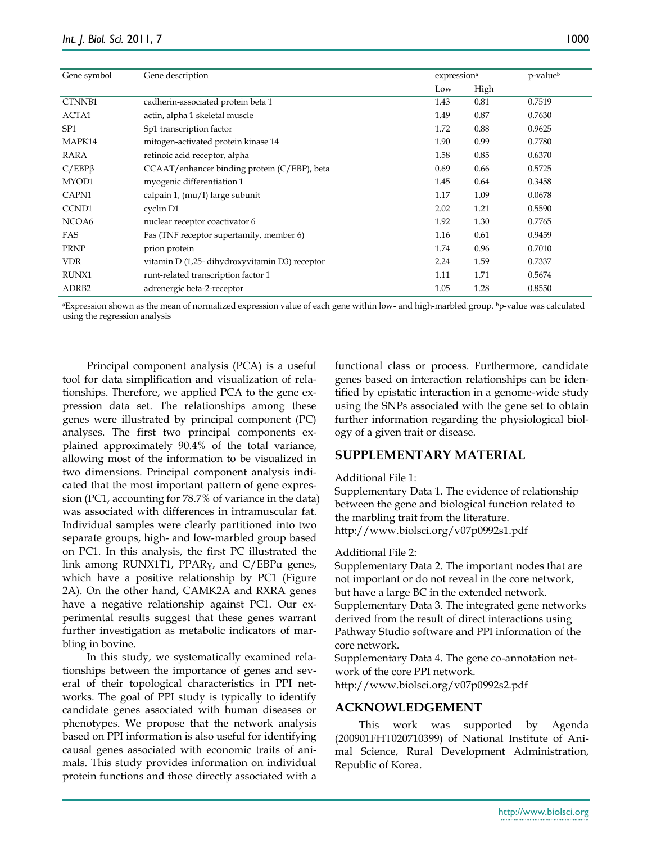| Gene symbol       | Gene description                               | expression <sup>a</sup> |      | p-valueb |
|-------------------|------------------------------------------------|-------------------------|------|----------|
|                   |                                                | Low                     | High |          |
| CTNNB1            | cadherin-associated protein beta 1             | 1.43                    | 0.81 | 0.7519   |
| ACTA1             | actin, alpha 1 skeletal muscle                 | 1.49                    | 0.87 | 0.7630   |
| SP <sub>1</sub>   | Sp1 transcription factor                       | 1.72                    | 0.88 | 0.9625   |
| MAPK14            | mitogen-activated protein kinase 14            | 1.90                    | 0.99 | 0.7780   |
| RARA              | retinoic acid receptor, alpha                  | 1.58                    | 0.85 | 0.6370   |
| $C/EBP\beta$      | CCAAT/enhancer binding protein (C/EBP), beta   | 0.69                    | 0.66 | 0.5725   |
| MYOD1             | myogenic differentiation 1                     | 1.45                    | 0.64 | 0.3458   |
| CAPN1             | calpain 1, (mu/I) large subunit                | 1.17                    | 1.09 | 0.0678   |
| CCND1             | cyclin D1                                      | 2.02                    | 1.21 | 0.5590   |
| NCOA6             | nuclear receptor coactivator 6                 | 1.92                    | 1.30 | 0.7765   |
| FAS               | Fas (TNF receptor superfamily, member 6)       | 1.16                    | 0.61 | 0.9459   |
| <b>PRNP</b>       | prion protein                                  | 1.74                    | 0.96 | 0.7010   |
| <b>VDR</b>        | vitamin D (1,25- dihydroxyvitamin D3) receptor | 2.24                    | 1.59 | 0.7337   |
| <b>RUNX1</b>      | runt-related transcription factor 1            | 1.11                    | 1.71 | 0.5674   |
| ADRB <sub>2</sub> | adrenergic beta-2-receptor                     | 1.05                    | 1.28 | 0.8550   |

<sup>a</sup>Expression shown as the mean of normalized expression value of each gene within low- and high-marbled group. <sup>b</sup>p-value was calculated using the regression analysis

Principal component analysis (PCA) is a useful tool for data simplification and visualization of relationships. Therefore, we applied PCA to the gene expression data set. The relationships among these genes were illustrated by principal component (PC) analyses. The first two principal components explained approximately 90.4% of the total variance, allowing most of the information to be visualized in two dimensions. Principal component analysis indicated that the most important pattern of gene expression (PC1, accounting for 78.7% of variance in the data) was associated with differences in intramuscular fat. Individual samples were clearly partitioned into two separate groups, high- and low-marbled group based on PC1. In this analysis, the first PC illustrated the link among RUNX1T1, PPARγ, and C/EBPα genes, which have a positive relationship by PC1 (Figure 2A). On the other hand, CAMK2A and RXRA genes have a negative relationship against PC1. Our experimental results suggest that these genes warrant further investigation as metabolic indicators of marbling in bovine.

In this study, we systematically examined relationships between the importance of genes and several of their topological characteristics in PPI networks. The goal of PPI study is typically to identify candidate genes associated with human diseases or phenotypes. We propose that the network analysis based on PPI information is also useful for identifying causal genes associated with economic traits of animals. This study provides information on individual protein functions and those directly associated with a functional class or process. Furthermore, candidate genes based on interaction relationships can be identified by epistatic interaction in a genome-wide study using the SNPs associated with the gene set to obtain further information regarding the physiological biology of a given trait or disease.

## **SUPPLEMENTARY MATERIAL**

#### Additional File 1:

Supplementary Data 1. The evidence of relationship between the gene and biological function related to the marbling trait from the literature. http://www.biolsci.org/v07p0992s1.pdf

#### Additional File 2:

Supplementary Data 2. The important nodes that are not important or do not reveal in the core network, but have a large BC in the extended network. Supplementary Data 3. The integrated gene networks derived from the result of direct interactions using Pathway Studio software and PPI information of the core network.

Supplementary Data 4. The gene co-annotation network of the core PPI network. http://www.biolsci.org/v07p0992s2.pdf

#### **ACKNOWLEDGEMENT**

This work was supported by Agenda (200901FHT020710399) of National Institute of Animal Science, Rural Development Administration, Republic of Korea.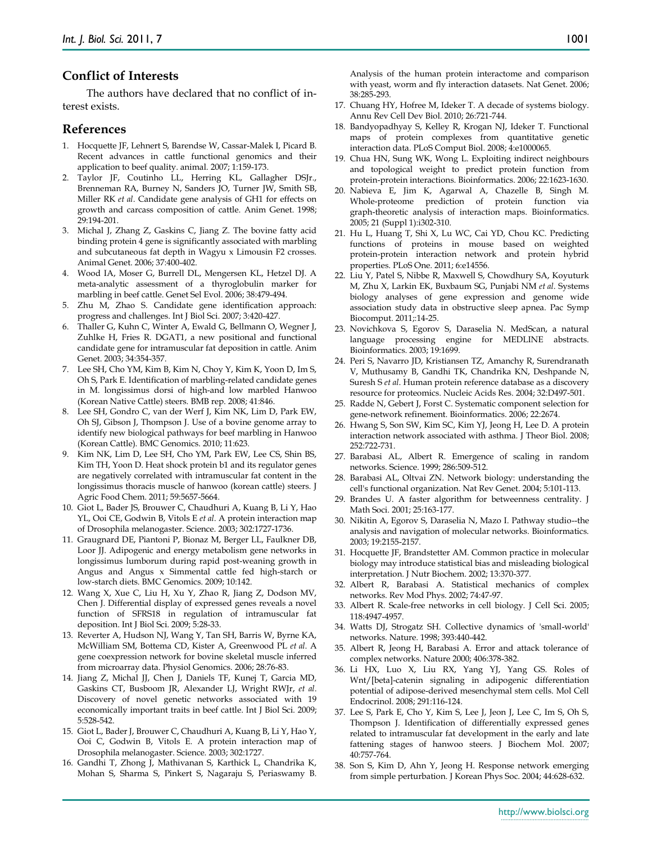## **Conflict of Interests**

The authors have declared that no conflict of interest exists.

#### **References**

- 1. Hocquette JF, Lehnert S, Barendse W, Cassar-Malek I, Picard B. Recent advances in cattle functional genomics and their application to beef quality. animal. 2007; 1:159-173.
- 2. Taylor JF, Coutinho LL, Herring KL, Gallagher DSJr., Brenneman RA, Burney N, Sanders JO, Turner JW, Smith SB, Miller RK *et al*. Candidate gene analysis of GH1 for effects on growth and carcass composition of cattle. Anim Genet. 1998; 29:194-201.
- 3. Michal J, Zhang Z, Gaskins C, Jiang Z. The bovine fatty acid binding protein 4 gene is significantly associated with marbling and subcutaneous fat depth in Wagyu x Limousin F2 crosses. Animal Genet. 2006; 37:400-402.
- 4. Wood IA, Moser G, Burrell DL, Mengersen KL, Hetzel DJ. A meta-analytic assessment of a thyroglobulin marker for marbling in beef cattle. Genet Sel Evol. 2006; 38:479-494.
- 5. Zhu M, Zhao S. Candidate gene identification approach: progress and challenges. Int J Biol Sci. 2007; 3:420-427.
- 6. Thaller G, Kuhn C, Winter A, Ewald G, Bellmann O, Wegner J, Zuhlke H, Fries R. DGAT1, a new positional and functional candidate gene for intramuscular fat deposition in cattle. Anim Genet. 2003; 34:354-357.
- 7. Lee SH, Cho YM, Kim B, Kim N, Choy Y, Kim K, Yoon D, Im S, Oh S, Park E. Identification of marbling-related candidate genes in M. longissimus dorsi of high-and low marbled Hanwoo (Korean Native Cattle) steers. BMB rep. 2008; 41:846.
- 8. Lee SH, Gondro C, van der Werf J, Kim NK, Lim D, Park EW, Oh SJ, Gibson J, Thompson J. Use of a bovine genome array to identify new biological pathways for beef marbling in Hanwoo (Korean Cattle). BMC Genomics. 2010; 11:623.
- 9. Kim NK, Lim D, Lee SH, Cho YM, Park EW, Lee CS, Shin BS, Kim TH, Yoon D. Heat shock protein b1 and its regulator genes are negatively correlated with intramuscular fat content in the longissimus thoracis muscle of hanwoo (korean cattle) steers. J Agric Food Chem. 2011; 59:5657-5664.
- 10. Giot L, Bader JS, Brouwer C, Chaudhuri A, Kuang B, Li Y, Hao YL, Ooi CE, Godwin B, Vitols E *et al*. A protein interaction map of Drosophila melanogaster. Science. 2003; 302:1727-1736.
- 11. Graugnard DE, Piantoni P, Bionaz M, Berger LL, Faulkner DB, Loor JJ. Adipogenic and energy metabolism gene networks in longissimus lumborum during rapid post-weaning growth in Angus and Angus x Simmental cattle fed high-starch or low-starch diets. BMC Genomics. 2009; 10:142.
- 12. Wang X, Xue C, Liu H, Xu Y, Zhao R, Jiang Z, Dodson MV, Chen J. Differential display of expressed genes reveals a novel function of SFRS18 in regulation of intramuscular fat deposition. Int J Biol Sci. 2009; 5:28-33.
- 13. Reverter A, Hudson NJ, Wang Y, Tan SH, Barris W, Byrne KA, McWilliam SM, Bottema CD, Kister A, Greenwood PL *et al*. A gene coexpression network for bovine skeletal muscle inferred from microarray data. Physiol Genomics. 2006; 28:76-83.
- 14. Jiang Z, Michal JJ, Chen J, Daniels TF, Kunej T, Garcia MD, Gaskins CT, Busboom JR, Alexander LJ, Wright RWJr, *et al*. Discovery of novel genetic networks associated with 19 economically important traits in beef cattle. Int J Biol Sci. 2009; 5:528-542.
- 15. Giot L, Bader J, Brouwer C, Chaudhuri A, Kuang B, Li Y, Hao Y, Ooi C, Godwin B, Vitols E. A protein interaction map of Drosophila melanogaster. Science. 2003; 302:1727.
- 16. Gandhi T, Zhong J, Mathivanan S, Karthick L, Chandrika K, Mohan S, Sharma S, Pinkert S, Nagaraju S, Periaswamy B.

Analysis of the human protein interactome and comparison with yeast, worm and fly interaction datasets. Nat Genet. 2006; 38:285-293.

- 17. Chuang HY, Hofree M, Ideker T. A decade of systems biology. Annu Rev Cell Dev Biol. 2010; 26:721-744.
- 18. Bandyopadhyay S, Kelley R, Krogan NJ, Ideker T. Functional maps of protein complexes from quantitative genetic interaction data. PLoS Comput Biol. 2008; 4:e1000065.
- 19. Chua HN, Sung WK, Wong L. Exploiting indirect neighbours and topological weight to predict protein function from protein-protein interactions. Bioinformatics. 2006; 22:1623-1630.
- 20. Nabieva E, Jim K, Agarwal A, Chazelle B, Singh M. Whole-proteome prediction of protein function via graph-theoretic analysis of interaction maps. Bioinformatics. 2005; 21 (Suppl 1):i302-310.
- 21. Hu L, Huang T, Shi X, Lu WC, Cai YD, Chou KC. Predicting functions of proteins in mouse based on weighted protein-protein interaction network and protein hybrid properties. PLoS One. 2011; 6:e14556.
- 22. Liu Y, Patel S, Nibbe R, Maxwell S, Chowdhury SA, Koyuturk M, Zhu X, Larkin EK, Buxbaum SG, Punjabi NM *et al*. Systems biology analyses of gene expression and genome wide association study data in obstructive sleep apnea. Pac Symp Biocomput. 2011;:14-25.
- 23. Novichkova S, Egorov S, Daraselia N. MedScan, a natural language processing engine for MEDLINE abstracts. Bioinformatics. 2003; 19:1699.
- 24. Peri S, Navarro JD, Kristiansen TZ, Amanchy R, Surendranath V, Muthusamy B, Gandhi TK, Chandrika KN, Deshpande N, Suresh S *et al*. Human protein reference database as a discovery resource for proteomics. Nucleic Acids Res. 2004; 32:D497-501.
- 25. Radde N, Gebert J, Forst C. Systematic component selection for gene-network refinement. Bioinformatics. 2006; 22:2674.
- 26. Hwang S, Son SW, Kim SC, Kim YJ, Jeong H, Lee D. A protein interaction network associated with asthma. J Theor Biol. 2008; 252:722-731.
- 27. Barabasi AL, Albert R. Emergence of scaling in random networks. Science. 1999; 286:509-512.
- 28. Barabasi AL, Oltvai ZN. Network biology: understanding the cell's functional organization. Nat Rev Genet. 2004; 5:101-113.
- 29. Brandes U. A faster algorithm for betweenness centrality. J Math Soci. 2001; 25:163-177.
- 30. Nikitin A, Egorov S, Daraselia N, Mazo I. Pathway studio--the analysis and navigation of molecular networks. Bioinformatics. 2003; 19:2155-2157.
- 31. Hocquette JF, Brandstetter AM. Common practice in molecular biology may introduce statistical bias and misleading biological interpretation. J Nutr Biochem. 2002; 13:370-377.
- 32. Albert R, Barabasi A. Statistical mechanics of complex networks. Rev Mod Phys. 2002; 74:47-97.
- 33. Albert R. Scale-free networks in cell biology. J Cell Sci. 2005; 118:4947-4957.
- 34. Watts DJ, Strogatz SH. Collective dynamics of 'small-world' networks. Nature. 1998; 393:440-442.
- 35. Albert R, Jeong H, Barabasi A. Error and attack tolerance of complex networks. Nature 2000; 406:378-382.
- 36. Li HX, Luo X, Liu RX, Yang YJ, Yang GS. Roles of Wnt/[beta]-catenin signaling in adipogenic differentiation potential of adipose-derived mesenchymal stem cells. Mol Cell Endocrinol. 2008; 291:116-124.
- 37. Lee S, Park E, Cho Y, Kim S, Lee J, Jeon J, Lee C, Im S, Oh S, Thompson J. Identification of differentially expressed genes related to intramuscular fat development in the early and late fattening stages of hanwoo steers. J Biochem Mol. 2007; 40:757-764.
- 38. Son S, Kim D, Ahn Y, Jeong H. Response network emerging from simple perturbation. J Korean Phys Soc. 2004; 44:628-632.